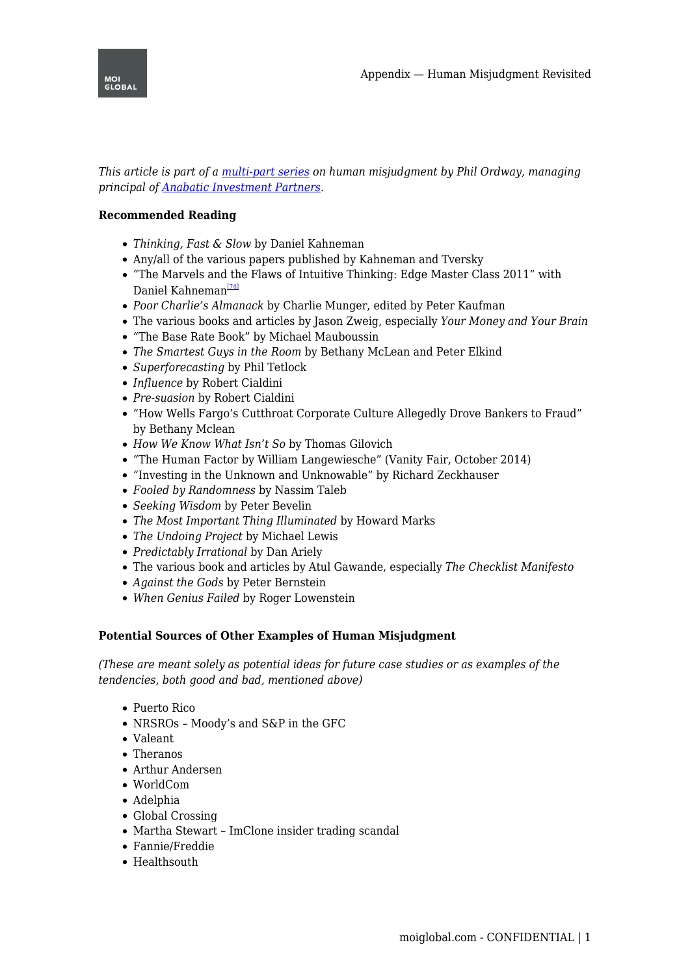

*This article is part of a [multi-part series](https://moiglobal.com/human-misjudgment/) on human misjudgment by Phil Ordway, managing principal of [Anabatic Investment Partners.](http://www.anabaticllc.com/)*

## **Recommended Reading**

- *Thinking, Fast & Slow* by Daniel Kahneman
- Any/all of the various papers published by Kahneman and Tversky
- <span id="page-0-0"></span>"The Marvels and the Flaws of Intuitive Thinking: Edge Master Class 2011" with Daniel Kahneman<sup>[\[74\]](#page-13-0)</sup>
- *Poor Charlie's Almanack* by Charlie Munger, edited by Peter Kaufman
- The various books and articles by Jason Zweig, especially *Your Money and Your Brain*
- "The Base Rate Book" by Michael Mauboussin
- *The Smartest Guys in the Room* by Bethany McLean and Peter Elkind
- *Superforecasting* by Phil Tetlock
- *Influence* by Robert Cialdini
- *Pre-suasion* by Robert Cialdini
- "How Wells Fargo's Cutthroat Corporate Culture Allegedly Drove Bankers to Fraud" by Bethany Mclean
- *How We Know What Isn't So* by Thomas Gilovich
- "The Human Factor by William Langewiesche" (Vanity Fair, October 2014)
- "Investing in the Unknown and Unknowable" by Richard Zeckhauser
- *Fooled by Randomness* by Nassim Taleb
- *Seeking Wisdom* by Peter Bevelin
- *The Most Important Thing Illuminated* by Howard Marks
- *The Undoing Project* by Michael Lewis
- *Predictably Irrational* by Dan Ariely
- The various book and articles by Atul Gawande, especially *The Checklist Manifesto*
- *Against the Gods* by Peter Bernstein
- *When Genius Failed* by Roger Lowenstein

## **Potential Sources of Other Examples of Human Misjudgment**

*(These are meant solely as potential ideas for future case studies or as examples of the tendencies, both good and bad, mentioned above)*

- Puerto Rico
- NRSROs Moody's and S&P in the GFC
- Valeant
- Theranos
- Arthur Andersen
- WorldCom
- Adelphia
- Global Crossing
- Martha Stewart ImClone insider trading scandal
- Fannie/Freddie
- Healthsouth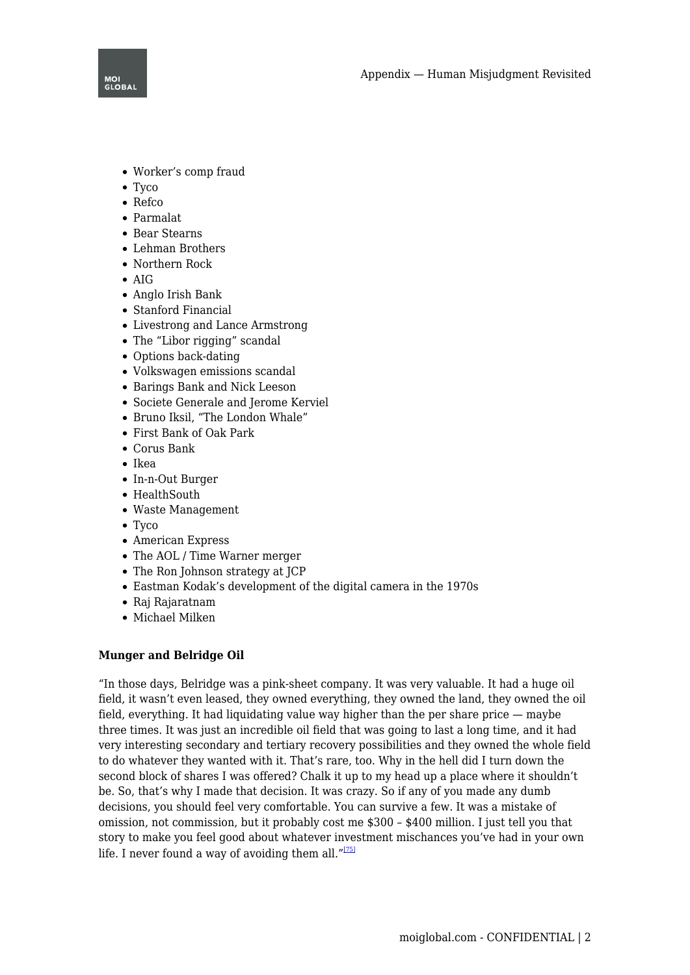- Worker's comp fraud
- Tyco
- Refco
- Parmalat
- Bear Stearns
- Lehman Brothers
- Northern Rock
- $\bullet$  AIG
- Anglo Irish Bank
- Stanford Financial
- Livestrong and Lance Armstrong
- The "Libor rigging" scandal
- Options back-dating
- Volkswagen emissions scandal
- Barings Bank and Nick Leeson
- Societe Generale and Jerome Kerviel
- Bruno Iksil, "The London Whale"
- First Bank of Oak Park
- Corus Bank
- Ikea
- In-n-Out Burger
- HealthSouth
- Waste Management
- Tyco
- American Express
- The AOL / Time Warner merger
- The Ron Johnson strategy at JCP
- Eastman Kodak's development of the digital camera in the 1970s
- Raj Rajaratnam
- Michael Milken

# **Munger and Belridge Oil**

<span id="page-1-0"></span>"In those days, Belridge was a pink-sheet company. It was very valuable. It had a huge oil field, it wasn't even leased, they owned everything, they owned the land, they owned the oil field, everything. It had liquidating value way higher than the per share price — maybe three times. It was just an incredible oil field that was going to last a long time, and it had very interesting secondary and tertiary recovery possibilities and they owned the whole field to do whatever they wanted with it. That's rare, too. Why in the hell did I turn down the second block of shares I was offered? Chalk it up to my head up a place where it shouldn't be. So, that's why I made that decision. It was crazy. So if any of you made any dumb decisions, you should feel very comfortable. You can survive a few. It was a mistake of omission, not commission, but it probably cost me \$300 – \$400 million. I just tell you that story to make you feel good about whatever investment mischances you've had in your own life. I never found a way of avoiding them all." $[75]$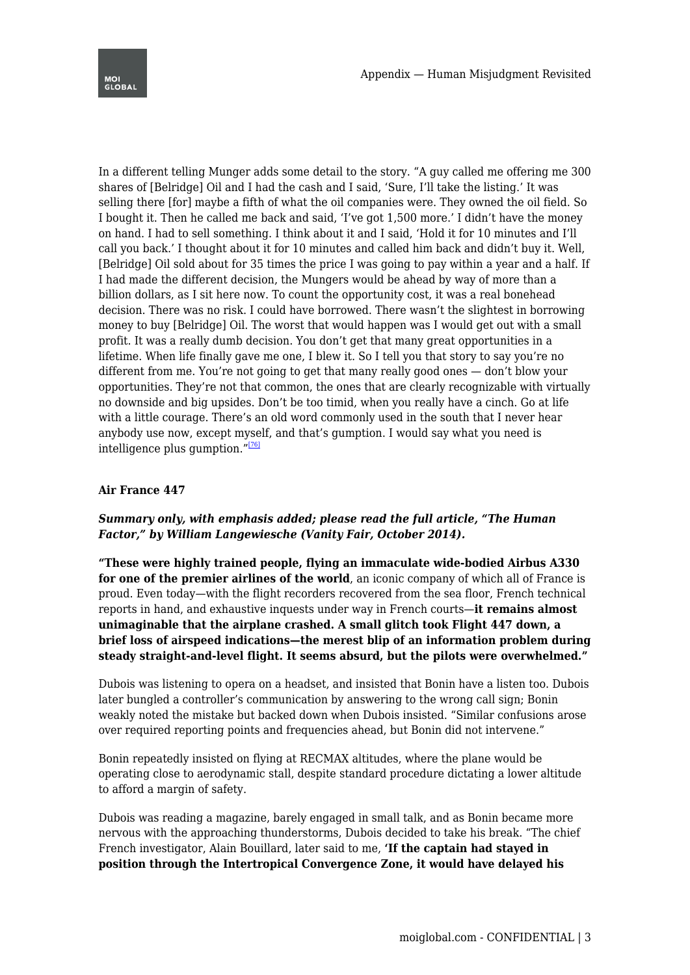In a different telling Munger adds some detail to the story. "A guy called me offering me 300 shares of [Belridge] Oil and I had the cash and I said, 'Sure, I'll take the listing.' It was selling there [for] maybe a fifth of what the oil companies were. They owned the oil field. So I bought it. Then he called me back and said, 'I've got 1,500 more.' I didn't have the money on hand. I had to sell something. I think about it and I said, 'Hold it for 10 minutes and I'll call you back.' I thought about it for 10 minutes and called him back and didn't buy it. Well, [Belridge] Oil sold about for 35 times the price I was going to pay within a year and a half. If I had made the different decision, the Mungers would be ahead by way of more than a billion dollars, as I sit here now. To count the opportunity cost, it was a real bonehead decision. There was no risk. I could have borrowed. There wasn't the slightest in borrowing money to buy [Belridge] Oil. The worst that would happen was I would get out with a small profit. It was a really dumb decision. You don't get that many great opportunities in a lifetime. When life finally gave me one, I blew it. So I tell you that story to say you're no different from me. You're not going to get that many really good ones — don't blow your opportunities. They're not that common, the ones that are clearly recognizable with virtually no downside and big upsides. Don't be too timid, when you really have a cinch. Go at life with a little courage. There's an old word commonly used in the south that I never hear anybody use now, except myself, and that's gumption. I would say what you need is intelligence plus gumption."[\[76\]](#page-13-2)

# <span id="page-2-0"></span>**Air France 447**

# *Summary only, with emphasis added; please read the full article, "The Human Factor," by William Langewiesche (Vanity Fair, October 2014).*

**"These were highly trained people, flying an immaculate wide-bodied Airbus A330 for one of the premier airlines of the world**, an iconic company of which all of France is proud. Even today—with the flight recorders recovered from the sea floor, French technical reports in hand, and exhaustive inquests under way in French courts—**it remains almost unimaginable that the airplane crashed. A small glitch took Flight 447 down, a brief loss of airspeed indications—the merest blip of an information problem during steady straight-and-level flight. It seems absurd, but the pilots were overwhelmed."**

Dubois was listening to opera on a headset, and insisted that Bonin have a listen too. Dubois later bungled a controller's communication by answering to the wrong call sign; Bonin weakly noted the mistake but backed down when Dubois insisted. "Similar confusions arose over required reporting points and frequencies ahead, but Bonin did not intervene."

Bonin repeatedly insisted on flying at RECMAX altitudes, where the plane would be operating close to aerodynamic stall, despite standard procedure dictating a lower altitude to afford a margin of safety.

Dubois was reading a magazine, barely engaged in small talk, and as Bonin became more nervous with the approaching thunderstorms, Dubois decided to take his break. "The chief French investigator, Alain Bouillard, later said to me, **'If the captain had stayed in position through the Intertropical Convergence Zone, it would have delayed his**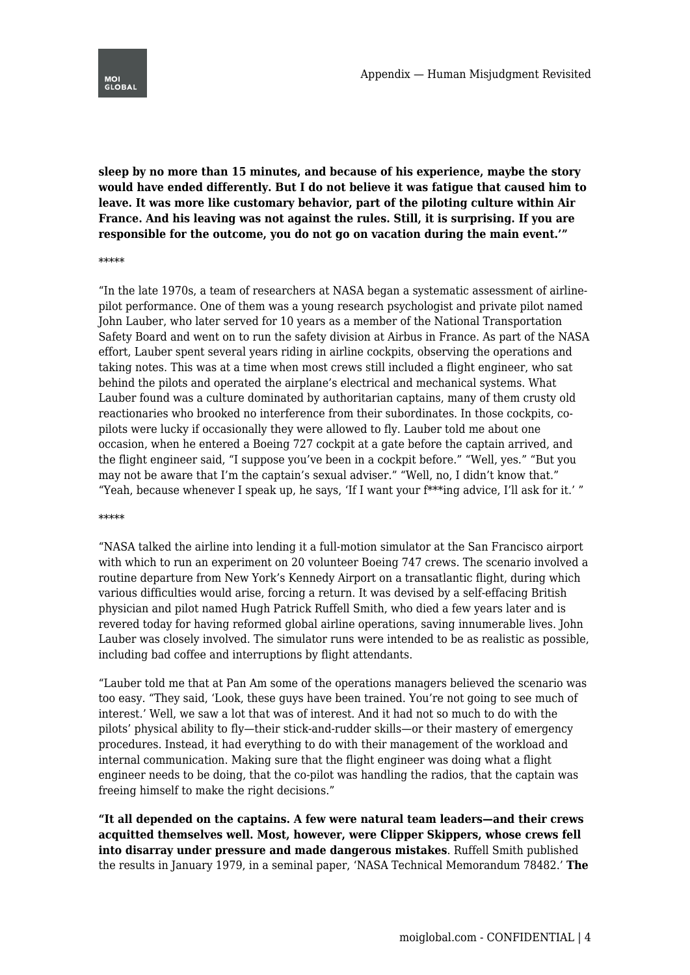# **sleep by no more than 15 minutes, and because of his experience, maybe the story would have ended differently. But I do not believe it was fatigue that caused him to leave. It was more like customary behavior, part of the piloting culture within Air France. And his leaving was not against the rules. Still, it is surprising. If you are responsible for the outcome, you do not go on vacation during the main event.'"**

#### \*\*\*\*\*

"In the late 1970s, a team of researchers at NASA began a systematic assessment of airlinepilot performance. One of them was a young research psychologist and private pilot named John Lauber, who later served for 10 years as a member of the National Transportation Safety Board and went on to run the safety division at Airbus in France. As part of the NASA effort, Lauber spent several years riding in airline cockpits, observing the operations and taking notes. This was at a time when most crews still included a flight engineer, who sat behind the pilots and operated the airplane's electrical and mechanical systems. What Lauber found was a culture dominated by authoritarian captains, many of them crusty old reactionaries who brooked no interference from their subordinates. In those cockpits, copilots were lucky if occasionally they were allowed to fly. Lauber told me about one occasion, when he entered a Boeing 727 cockpit at a gate before the captain arrived, and the flight engineer said, "I suppose you've been in a cockpit before." "Well, yes." "But you may not be aware that I'm the captain's sexual adviser." "Well, no, I didn't know that." "Yeah, because whenever I speak up, he says, 'If I want your  $f^{**}$ ing advice, I'll ask for it.'"

#### \*\*\*\*\*

"NASA talked the airline into lending it a full-motion simulator at the San Francisco airport with which to run an experiment on 20 volunteer Boeing 747 crews. The scenario involved a routine departure from New York's Kennedy Airport on a transatlantic flight, during which various difficulties would arise, forcing a return. It was devised by a self-effacing British physician and pilot named Hugh Patrick Ruffell Smith, who died a few years later and is revered today for having reformed global airline operations, saving innumerable lives. John Lauber was closely involved. The simulator runs were intended to be as realistic as possible, including bad coffee and interruptions by flight attendants.

"Lauber told me that at Pan Am some of the operations managers believed the scenario was too easy. "They said, 'Look, these guys have been trained. You're not going to see much of interest.' Well, we saw a lot that was of interest. And it had not so much to do with the pilots' physical ability to fly—their stick-and-rudder skills—or their mastery of emergency procedures. Instead, it had everything to do with their management of the workload and internal communication. Making sure that the flight engineer was doing what a flight engineer needs to be doing, that the co-pilot was handling the radios, that the captain was freeing himself to make the right decisions."

**"It all depended on the captains. A few were natural team leaders—and their crews acquitted themselves well. Most, however, were Clipper Skippers, whose crews fell into disarray under pressure and made dangerous mistakes**. Ruffell Smith published the results in January 1979, in a seminal paper, 'NASA Technical Memorandum 78482.' **The**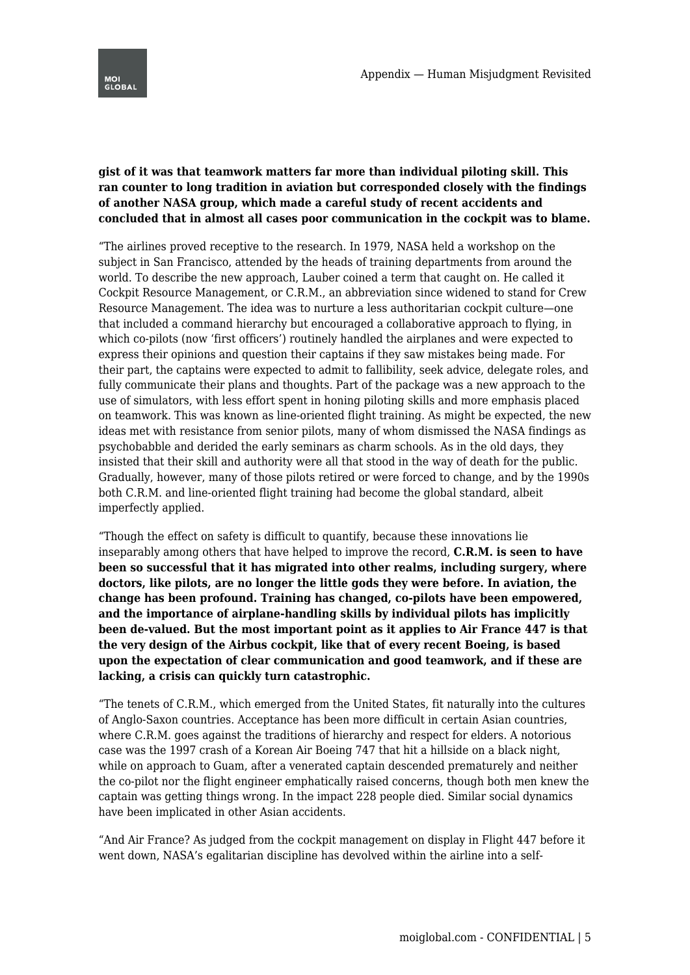## **gist of it was that teamwork matters far more than individual piloting skill. This ran counter to long tradition in aviation but corresponded closely with the findings of another NASA group, which made a careful study of recent accidents and concluded that in almost all cases poor communication in the cockpit was to blame.**

"The airlines proved receptive to the research. In 1979, NASA held a workshop on the subject in San Francisco, attended by the heads of training departments from around the world. To describe the new approach, Lauber coined a term that caught on. He called it Cockpit Resource Management, or C.R.M., an abbreviation since widened to stand for Crew Resource Management. The idea was to nurture a less authoritarian cockpit culture—one that included a command hierarchy but encouraged a collaborative approach to flying, in which co-pilots (now 'first officers') routinely handled the airplanes and were expected to express their opinions and question their captains if they saw mistakes being made. For their part, the captains were expected to admit to fallibility, seek advice, delegate roles, and fully communicate their plans and thoughts. Part of the package was a new approach to the use of simulators, with less effort spent in honing piloting skills and more emphasis placed on teamwork. This was known as line-oriented flight training. As might be expected, the new ideas met with resistance from senior pilots, many of whom dismissed the NASA findings as psychobabble and derided the early seminars as charm schools. As in the old days, they insisted that their skill and authority were all that stood in the way of death for the public. Gradually, however, many of those pilots retired or were forced to change, and by the 1990s both C.R.M. and line-oriented flight training had become the global standard, albeit imperfectly applied.

"Though the effect on safety is difficult to quantify, because these innovations lie inseparably among others that have helped to improve the record, **C.R.M. is seen to have been so successful that it has migrated into other realms, including surgery, where doctors, like pilots, are no longer the little gods they were before. In aviation, the change has been profound. Training has changed, co-pilots have been empowered, and the importance of airplane-handling skills by individual pilots has implicitly been de-valued. But the most important point as it applies to Air France 447 is that the very design of the Airbus cockpit, like that of every recent Boeing, is based upon the expectation of clear communication and good teamwork, and if these are lacking, a crisis can quickly turn catastrophic.**

"The tenets of C.R.M., which emerged from the United States, fit naturally into the cultures of Anglo-Saxon countries. Acceptance has been more difficult in certain Asian countries, where C.R.M. goes against the traditions of hierarchy and respect for elders. A notorious case was the 1997 crash of a Korean Air Boeing 747 that hit a hillside on a black night, while on approach to Guam, after a venerated captain descended prematurely and neither the co-pilot nor the flight engineer emphatically raised concerns, though both men knew the captain was getting things wrong. In the impact 228 people died. Similar social dynamics have been implicated in other Asian accidents.

"And Air France? As judged from the cockpit management on display in Flight 447 before it went down, NASA's egalitarian discipline has devolved within the airline into a self-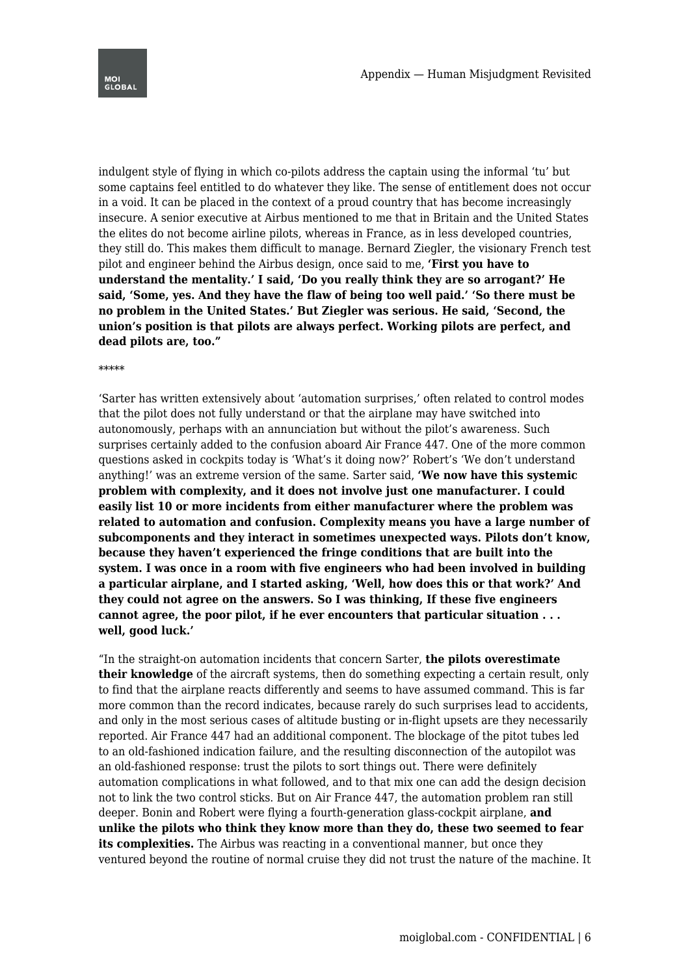

indulgent style of flying in which co-pilots address the captain using the informal 'tu' but some captains feel entitled to do whatever they like. The sense of entitlement does not occur in a void. It can be placed in the context of a proud country that has become increasingly insecure. A senior executive at Airbus mentioned to me that in Britain and the United States the elites do not become airline pilots, whereas in France, as in less developed countries, they still do. This makes them difficult to manage. Bernard Ziegler, the visionary French test pilot and engineer behind the Airbus design, once said to me, **'First you have to understand the mentality.' I said, 'Do you really think they are so arrogant?' He said, 'Some, yes. And they have the flaw of being too well paid.' 'So there must be no problem in the United States.' But Ziegler was serious. He said, 'Second, the union's position is that pilots are always perfect. Working pilots are perfect, and dead pilots are, too."**

\*\*\*\*\*

'Sarter has written extensively about 'automation surprises,' often related to control modes that the pilot does not fully understand or that the airplane may have switched into autonomously, perhaps with an annunciation but without the pilot's awareness. Such surprises certainly added to the confusion aboard Air France 447. One of the more common questions asked in cockpits today is 'What's it doing now?' Robert's 'We don't understand anything!' was an extreme version of the same. Sarter said, **'We now have this systemic problem with complexity, and it does not involve just one manufacturer. I could easily list 10 or more incidents from either manufacturer where the problem was related to automation and confusion. Complexity means you have a large number of subcomponents and they interact in sometimes unexpected ways. Pilots don't know, because they haven't experienced the fringe conditions that are built into the system. I was once in a room with five engineers who had been involved in building a particular airplane, and I started asking, 'Well, how does this or that work?' And they could not agree on the answers. So I was thinking, If these five engineers cannot agree, the poor pilot, if he ever encounters that particular situation . . . well, good luck.'**

"In the straight-on automation incidents that concern Sarter, **the pilots overestimate their knowledge** of the aircraft systems, then do something expecting a certain result, only to find that the airplane reacts differently and seems to have assumed command. This is far more common than the record indicates, because rarely do such surprises lead to accidents, and only in the most serious cases of altitude busting or in-flight upsets are they necessarily reported. Air France 447 had an additional component. The blockage of the pitot tubes led to an old-fashioned indication failure, and the resulting disconnection of the autopilot was an old-fashioned response: trust the pilots to sort things out. There were definitely automation complications in what followed, and to that mix one can add the design decision not to link the two control sticks. But on Air France 447, the automation problem ran still deeper. Bonin and Robert were flying a fourth-generation glass-cockpit airplane, **and unlike the pilots who think they know more than they do, these two seemed to fear its complexities.** The Airbus was reacting in a conventional manner, but once they ventured beyond the routine of normal cruise they did not trust the nature of the machine. It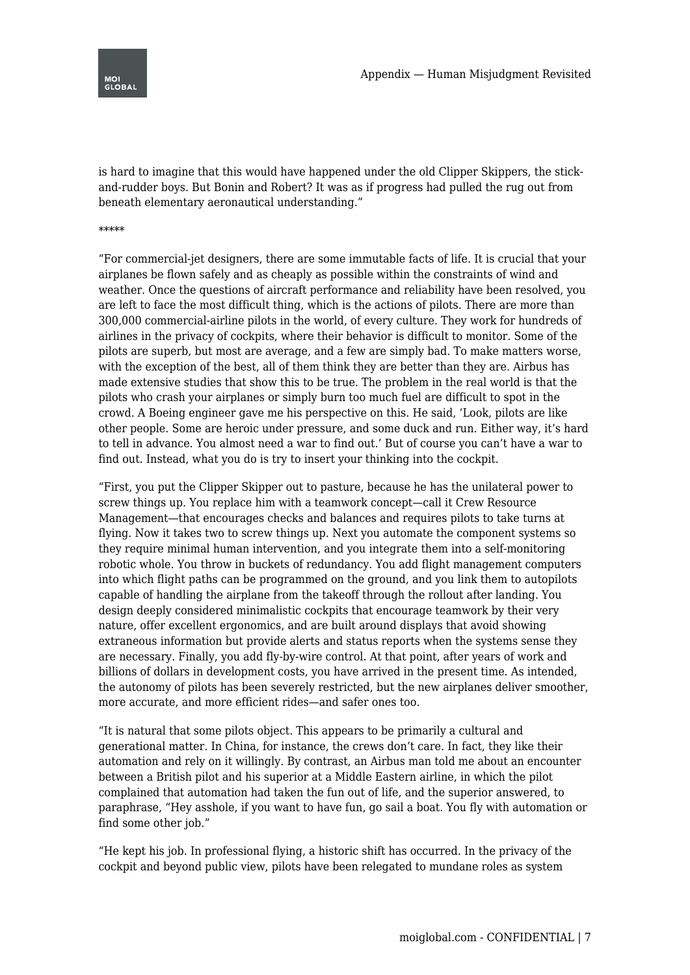

is hard to imagine that this would have happened under the old Clipper Skippers, the stickand-rudder boys. But Bonin and Robert? It was as if progress had pulled the rug out from beneath elementary aeronautical understanding."

\*\*\*\*\*

"For commercial-jet designers, there are some immutable facts of life. It is crucial that your airplanes be flown safely and as cheaply as possible within the constraints of wind and weather. Once the questions of aircraft performance and reliability have been resolved, you are left to face the most difficult thing, which is the actions of pilots. There are more than 300,000 commercial-airline pilots in the world, of every culture. They work for hundreds of airlines in the privacy of cockpits, where their behavior is difficult to monitor. Some of the pilots are superb, but most are average, and a few are simply bad. To make matters worse, with the exception of the best, all of them think they are better than they are. Airbus has made extensive studies that show this to be true. The problem in the real world is that the pilots who crash your airplanes or simply burn too much fuel are difficult to spot in the crowd. A Boeing engineer gave me his perspective on this. He said, 'Look, pilots are like other people. Some are heroic under pressure, and some duck and run. Either way, it's hard to tell in advance. You almost need a war to find out.' But of course you can't have a war to find out. Instead, what you do is try to insert your thinking into the cockpit.

"First, you put the Clipper Skipper out to pasture, because he has the unilateral power to screw things up. You replace him with a teamwork concept—call it Crew Resource Management—that encourages checks and balances and requires pilots to take turns at flying. Now it takes two to screw things up. Next you automate the component systems so they require minimal human intervention, and you integrate them into a self-monitoring robotic whole. You throw in buckets of redundancy. You add flight management computers into which flight paths can be programmed on the ground, and you link them to autopilots capable of handling the airplane from the takeoff through the rollout after landing. You design deeply considered minimalistic cockpits that encourage teamwork by their very nature, offer excellent ergonomics, and are built around displays that avoid showing extraneous information but provide alerts and status reports when the systems sense they are necessary. Finally, you add fly-by-wire control. At that point, after years of work and billions of dollars in development costs, you have arrived in the present time. As intended, the autonomy of pilots has been severely restricted, but the new airplanes deliver smoother, more accurate, and more efficient rides—and safer ones too.

"It is natural that some pilots object. This appears to be primarily a cultural and generational matter. In China, for instance, the crews don't care. In fact, they like their automation and rely on it willingly. By contrast, an Airbus man told me about an encounter between a British pilot and his superior at a Middle Eastern airline, in which the pilot complained that automation had taken the fun out of life, and the superior answered, to paraphrase, "Hey asshole, if you want to have fun, go sail a boat. You fly with automation or find some other job."

"He kept his job. In professional flying, a historic shift has occurred. In the privacy of the cockpit and beyond public view, pilots have been relegated to mundane roles as system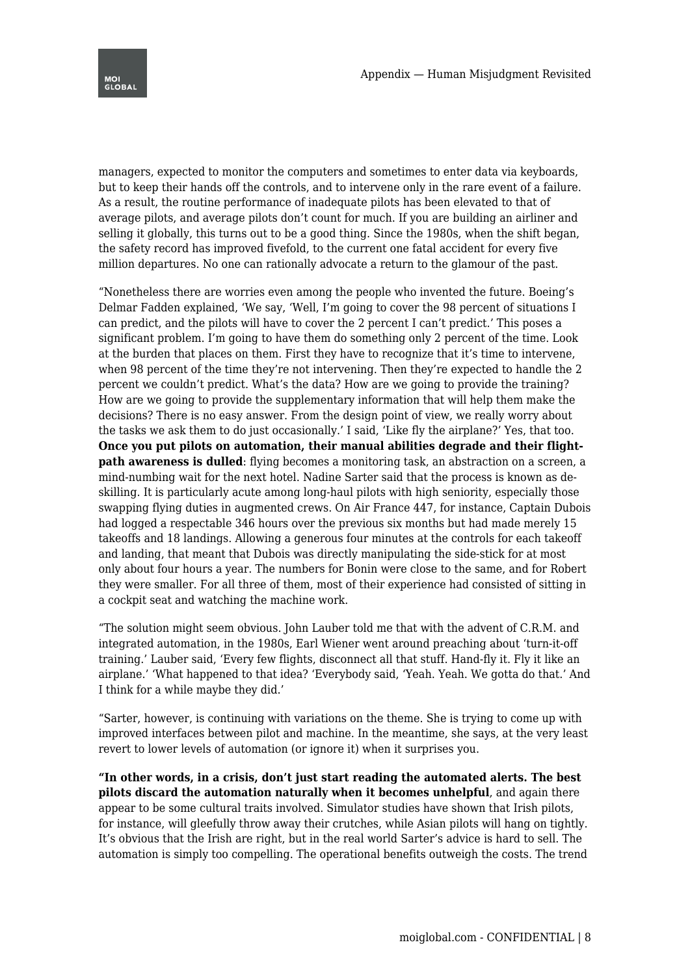

managers, expected to monitor the computers and sometimes to enter data via keyboards, but to keep their hands off the controls, and to intervene only in the rare event of a failure. As a result, the routine performance of inadequate pilots has been elevated to that of average pilots, and average pilots don't count for much. If you are building an airliner and selling it globally, this turns out to be a good thing. Since the 1980s, when the shift began, the safety record has improved fivefold, to the current one fatal accident for every five million departures. No one can rationally advocate a return to the glamour of the past.

"Nonetheless there are worries even among the people who invented the future. Boeing's Delmar Fadden explained, 'We say, 'Well, I'm going to cover the 98 percent of situations I can predict, and the pilots will have to cover the 2 percent I can't predict.' This poses a significant problem. I'm going to have them do something only 2 percent of the time. Look at the burden that places on them. First they have to recognize that it's time to intervene, when 98 percent of the time they're not intervening. Then they're expected to handle the 2 percent we couldn't predict. What's the data? How are we going to provide the training? How are we going to provide the supplementary information that will help them make the decisions? There is no easy answer. From the design point of view, we really worry about the tasks we ask them to do just occasionally.' I said, 'Like fly the airplane?' Yes, that too. **Once you put pilots on automation, their manual abilities degrade and their flightpath awareness is dulled**: flying becomes a monitoring task, an abstraction on a screen, a mind-numbing wait for the next hotel. Nadine Sarter said that the process is known as deskilling. It is particularly acute among long-haul pilots with high seniority, especially those swapping flying duties in augmented crews. On Air France 447, for instance, Captain Dubois had logged a respectable 346 hours over the previous six months but had made merely 15 takeoffs and 18 landings. Allowing a generous four minutes at the controls for each takeoff and landing, that meant that Dubois was directly manipulating the side-stick for at most only about four hours a year. The numbers for Bonin were close to the same, and for Robert they were smaller. For all three of them, most of their experience had consisted of sitting in a cockpit seat and watching the machine work.

"The solution might seem obvious. John Lauber told me that with the advent of C.R.M. and integrated automation, in the 1980s, Earl Wiener went around preaching about 'turn-it-off training.' Lauber said, 'Every few flights, disconnect all that stuff. Hand-fly it. Fly it like an airplane.' 'What happened to that idea? 'Everybody said, 'Yeah. Yeah. We gotta do that.' And I think for a while maybe they did.'

"Sarter, however, is continuing with variations on the theme. She is trying to come up with improved interfaces between pilot and machine. In the meantime, she says, at the very least revert to lower levels of automation (or ignore it) when it surprises you.

**"In other words, in a crisis, don't just start reading the automated alerts. The best pilots discard the automation naturally when it becomes unhelpful**, and again there appear to be some cultural traits involved. Simulator studies have shown that Irish pilots, for instance, will gleefully throw away their crutches, while Asian pilots will hang on tightly. It's obvious that the Irish are right, but in the real world Sarter's advice is hard to sell. The automation is simply too compelling. The operational benefits outweigh the costs. The trend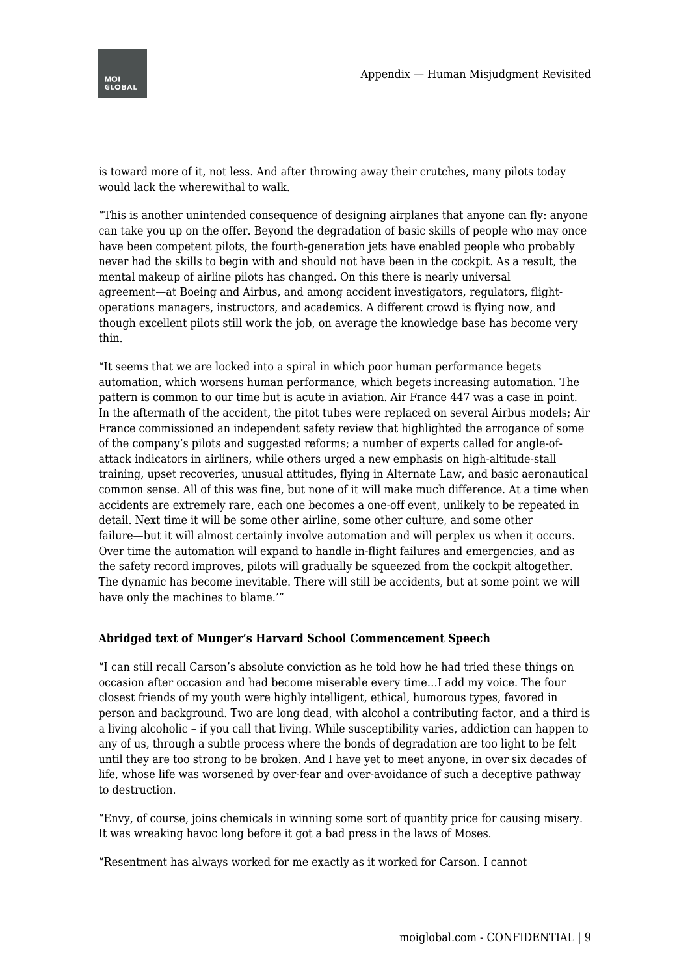

is toward more of it, not less. And after throwing away their crutches, many pilots today would lack the wherewithal to walk.

"This is another unintended consequence of designing airplanes that anyone can fly: anyone can take you up on the offer. Beyond the degradation of basic skills of people who may once have been competent pilots, the fourth-generation jets have enabled people who probably never had the skills to begin with and should not have been in the cockpit. As a result, the mental makeup of airline pilots has changed. On this there is nearly universal agreement—at Boeing and Airbus, and among accident investigators, regulators, flightoperations managers, instructors, and academics. A different crowd is flying now, and though excellent pilots still work the job, on average the knowledge base has become very thin.

"It seems that we are locked into a spiral in which poor human performance begets automation, which worsens human performance, which begets increasing automation. The pattern is common to our time but is acute in aviation. Air France 447 was a case in point. In the aftermath of the accident, the pitot tubes were replaced on several Airbus models; Air France commissioned an independent safety review that highlighted the arrogance of some of the company's pilots and suggested reforms; a number of experts called for angle-ofattack indicators in airliners, while others urged a new emphasis on high-altitude-stall training, upset recoveries, unusual attitudes, flying in Alternate Law, and basic aeronautical common sense. All of this was fine, but none of it will make much difference. At a time when accidents are extremely rare, each one becomes a one-off event, unlikely to be repeated in detail. Next time it will be some other airline, some other culture, and some other failure—but it will almost certainly involve automation and will perplex us when it occurs. Over time the automation will expand to handle in-flight failures and emergencies, and as the safety record improves, pilots will gradually be squeezed from the cockpit altogether. The dynamic has become inevitable. There will still be accidents, but at some point we will have only the machines to blame.'"

## **Abridged text of Munger's Harvard School Commencement Speech**

"I can still recall Carson's absolute conviction as he told how he had tried these things on occasion after occasion and had become miserable every time…I add my voice. The four closest friends of my youth were highly intelligent, ethical, humorous types, favored in person and background. Two are long dead, with alcohol a contributing factor, and a third is a living alcoholic – if you call that living. While susceptibility varies, addiction can happen to any of us, through a subtle process where the bonds of degradation are too light to be felt until they are too strong to be broken. And I have yet to meet anyone, in over six decades of life, whose life was worsened by over-fear and over-avoidance of such a deceptive pathway to destruction.

"Envy, of course, joins chemicals in winning some sort of quantity price for causing misery. It was wreaking havoc long before it got a bad press in the laws of Moses.

"Resentment has always worked for me exactly as it worked for Carson. I cannot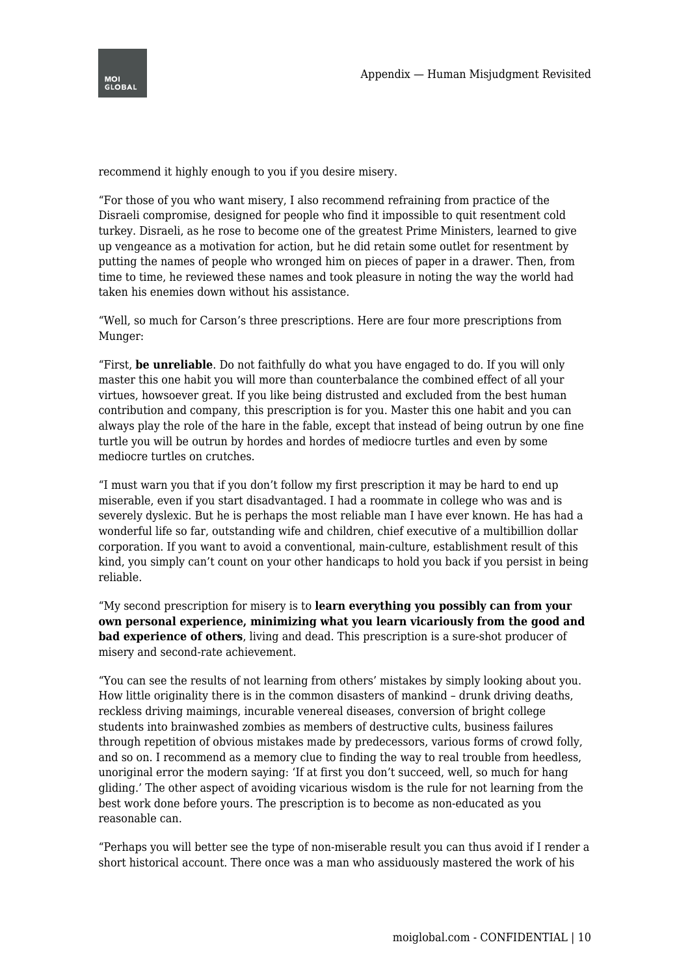

recommend it highly enough to you if you desire misery.

"For those of you who want misery, I also recommend refraining from practice of the Disraeli compromise, designed for people who find it impossible to quit resentment cold turkey. Disraeli, as he rose to become one of the greatest Prime Ministers, learned to give up vengeance as a motivation for action, but he did retain some outlet for resentment by putting the names of people who wronged him on pieces of paper in a drawer. Then, from time to time, he reviewed these names and took pleasure in noting the way the world had taken his enemies down without his assistance.

"Well, so much for Carson's three prescriptions. Here are four more prescriptions from Munger:

"First, **be unreliable**. Do not faithfully do what you have engaged to do. If you will only master this one habit you will more than counterbalance the combined effect of all your virtues, howsoever great. If you like being distrusted and excluded from the best human contribution and company, this prescription is for you. Master this one habit and you can always play the role of the hare in the fable, except that instead of being outrun by one fine turtle you will be outrun by hordes and hordes of mediocre turtles and even by some mediocre turtles on crutches.

"I must warn you that if you don't follow my first prescription it may be hard to end up miserable, even if you start disadvantaged. I had a roommate in college who was and is severely dyslexic. But he is perhaps the most reliable man I have ever known. He has had a wonderful life so far, outstanding wife and children, chief executive of a multibillion dollar corporation. If you want to avoid a conventional, main-culture, establishment result of this kind, you simply can't count on your other handicaps to hold you back if you persist in being reliable.

"My second prescription for misery is to **learn everything you possibly can from your own personal experience, minimizing what you learn vicariously from the good and bad experience of others**, living and dead. This prescription is a sure-shot producer of misery and second-rate achievement.

"You can see the results of not learning from others' mistakes by simply looking about you. How little originality there is in the common disasters of mankind – drunk driving deaths, reckless driving maimings, incurable venereal diseases, conversion of bright college students into brainwashed zombies as members of destructive cults, business failures through repetition of obvious mistakes made by predecessors, various forms of crowd folly, and so on. I recommend as a memory clue to finding the way to real trouble from heedless, unoriginal error the modern saying: 'If at first you don't succeed, well, so much for hang gliding.' The other aspect of avoiding vicarious wisdom is the rule for not learning from the best work done before yours. The prescription is to become as non-educated as you reasonable can.

"Perhaps you will better see the type of non-miserable result you can thus avoid if I render a short historical account. There once was a man who assiduously mastered the work of his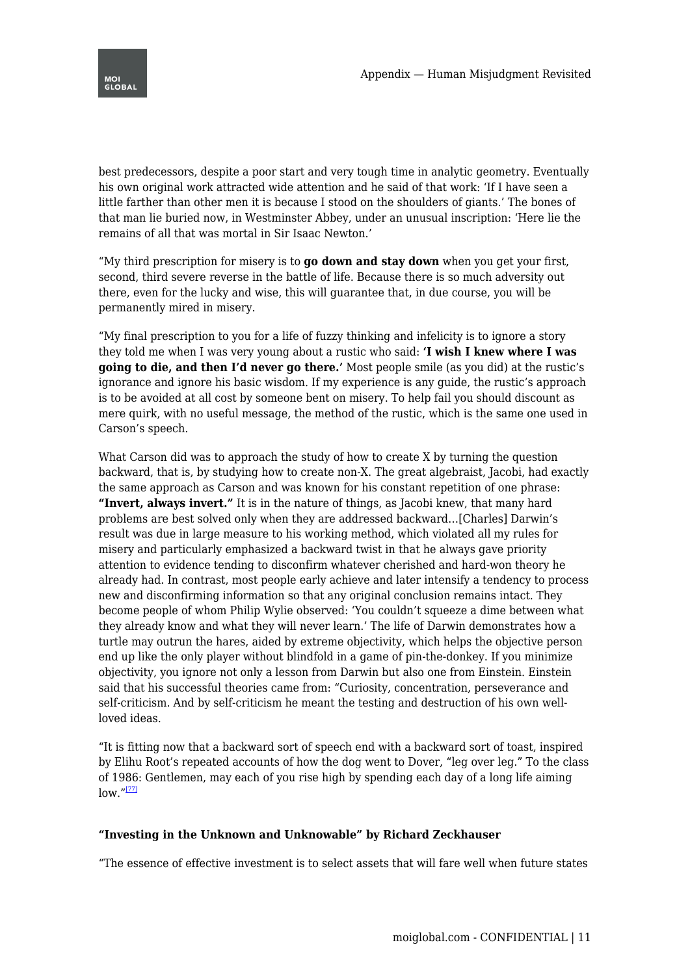

best predecessors, despite a poor start and very tough time in analytic geometry. Eventually his own original work attracted wide attention and he said of that work: 'If I have seen a little farther than other men it is because I stood on the shoulders of giants.' The bones of that man lie buried now, in Westminster Abbey, under an unusual inscription: 'Here lie the remains of all that was mortal in Sir Isaac Newton.'

"My third prescription for misery is to **go down and stay down** when you get your first, second, third severe reverse in the battle of life. Because there is so much adversity out there, even for the lucky and wise, this will guarantee that, in due course, you will be permanently mired in misery.

"My final prescription to you for a life of fuzzy thinking and infelicity is to ignore a story they told me when I was very young about a rustic who said: **'I wish I knew where I was going to die, and then I'd never go there.'** Most people smile (as you did) at the rustic's ignorance and ignore his basic wisdom. If my experience is any guide, the rustic's approach is to be avoided at all cost by someone bent on misery. To help fail you should discount as mere quirk, with no useful message, the method of the rustic, which is the same one used in Carson's speech.

What Carson did was to approach the study of how to create X by turning the question backward, that is, by studying how to create non-X. The great algebraist, Jacobi, had exactly the same approach as Carson and was known for his constant repetition of one phrase: **"Invert, always invert."** It is in the nature of things, as Jacobi knew, that many hard problems are best solved only when they are addressed backward…[Charles] Darwin's result was due in large measure to his working method, which violated all my rules for misery and particularly emphasized a backward twist in that he always gave priority attention to evidence tending to disconfirm whatever cherished and hard-won theory he already had. In contrast, most people early achieve and later intensify a tendency to process new and disconfirming information so that any original conclusion remains intact. They become people of whom Philip Wylie observed: 'You couldn't squeeze a dime between what they already know and what they will never learn.' The life of Darwin demonstrates how a turtle may outrun the hares, aided by extreme objectivity, which helps the objective person end up like the only player without blindfold in a game of pin-the-donkey. If you minimize objectivity, you ignore not only a lesson from Darwin but also one from Einstein. Einstein said that his successful theories came from: "Curiosity, concentration, perseverance and self-criticism. And by self-criticism he meant the testing and destruction of his own wellloved ideas.

<span id="page-10-0"></span>"It is fitting now that a backward sort of speech end with a backward sort of toast, inspired by Elihu Root's repeated accounts of how the dog went to Dover, "leg over leg." To the class of 1986: Gentlemen, may each of you rise high by spending each day of a long life aiming  $low.$ " $[77]$ 

## **"Investing in the Unknown and Unknowable" by Richard Zeckhauser**

"The essence of effective investment is to select assets that will fare well when future states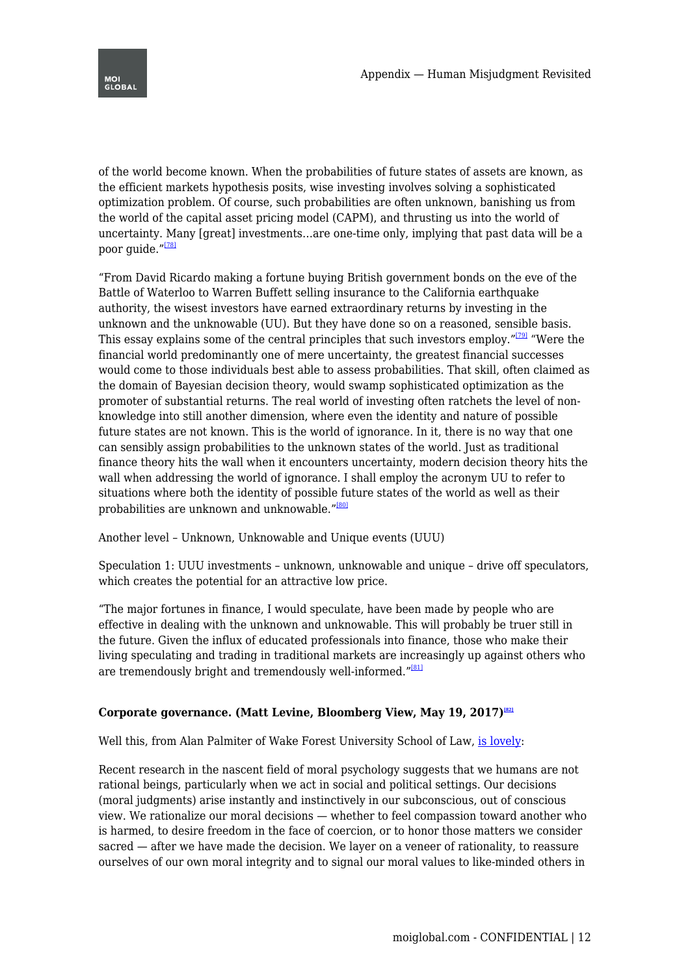

of the world become known. When the probabilities of future states of assets are known, as the efficient markets hypothesis posits, wise investing involves solving a sophisticated optimization problem. Of course, such probabilities are often unknown, banishing us from the world of the capital asset pricing model (CAPM), and thrusting us into the world of uncertainty. Many [great] investments…are one-time only, implying that past data will be a poor guide."[\[78\]](#page-13-4)

<span id="page-11-1"></span><span id="page-11-0"></span>"From David Ricardo making a fortune buying British government bonds on the eve of the Battle of Waterloo to Warren Buffett selling insurance to the California earthquake authority, the wisest investors have earned extraordinary returns by investing in the unknown and the unknowable (UU). But they have done so on a reasoned, sensible basis. This essay explains some of the central principles that such investors employ."<sup>[\[79\]](#page-13-5)</sup> "Were the financial world predominantly one of mere uncertainty, the greatest financial successes would come to those individuals best able to assess probabilities. That skill, often claimed as the domain of Bayesian decision theory, would swamp sophisticated optimization as the promoter of substantial returns. The real world of investing often ratchets the level of nonknowledge into still another dimension, where even the identity and nature of possible future states are not known. This is the world of ignorance. In it, there is no way that one can sensibly assign probabilities to the unknown states of the world. Just as traditional finance theory hits the wall when it encounters uncertainty, modern decision theory hits the wall when addressing the world of ignorance. I shall employ the acronym UU to refer to situations where both the identity of possible future states of the world as well as their probabilities are unknown and unknowable."<sup>[\[80\]](#page-13-6)</sup>

<span id="page-11-2"></span>Another level – Unknown, Unknowable and Unique events (UUU)

Speculation 1: UUU investments – unknown, unknowable and unique – drive off speculators, which creates the potential for an attractive low price.

"The major fortunes in finance, I would speculate, have been made by people who are effective in dealing with the unknown and unknowable. This will probably be truer still in the future. Given the influx of educated professionals into finance, those who make their living speculating and trading in traditional markets are increasingly up against others who are tremendously bright and tremendously well-informed."<sup>[\[81\]](#page-13-7)</sup>

# <span id="page-11-4"></span><span id="page-11-3"></span>**Corporate governance. (Matt Levine, Bloomberg View, May 19, 2017)[\[82\]](#page-13-8)**

Well this, from Alan Palmiter of Wake Forest University School of Law, [is lovely:](http://link.mail.bloombergbusiness.com/click/9652929.47456/aHR0cHM6Ly9wYXBlcnMuc3Nybi5jb20vc29sMy9wYXBlcnMuY2ZtP2Fic3RyYWN0X2lkPTI5NjQyNTAmdXRtX21lZGl1bT1lbWFpbCZ1dG1fc291cmNlPW5ld3NsZXR0ZXImdXRtX3Rlcm09MTcwNTE5JnV0bV9jYW1wYWlnbj1tb25leXN0dWZm/57472112d7aaa8f4038b5596B04d12127)

Recent research in the nascent field of moral psychology suggests that we humans are not rational beings, particularly when we act in social and political settings. Our decisions (moral judgments) arise instantly and instinctively in our subconscious, out of conscious view. We rationalize our moral decisions — whether to feel compassion toward another who is harmed, to desire freedom in the face of coercion, or to honor those matters we consider sacred — after we have made the decision. We layer on a veneer of rationality, to reassure ourselves of our own moral integrity and to signal our moral values to like-minded others in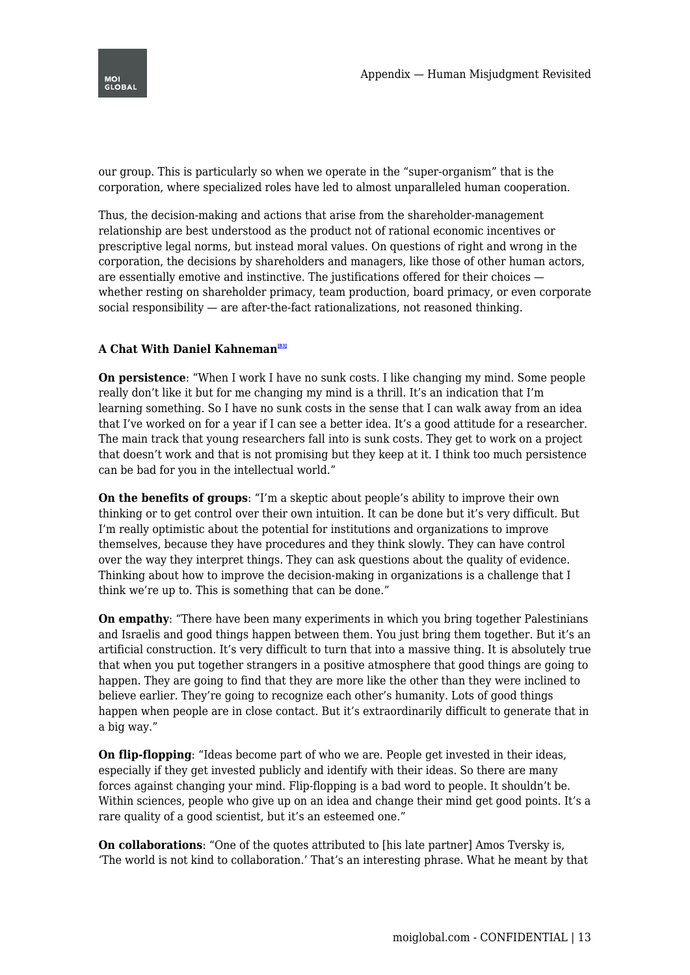

our group. This is particularly so when we operate in the "super-organism" that is the corporation, where specialized roles have led to almost unparalleled human cooperation.

Thus, the decision-making and actions that arise from the shareholder-management relationship are best understood as the product not of rational economic incentives or prescriptive legal norms, but instead moral values. On questions of right and wrong in the corporation, the decisions by shareholders and managers, like those of other human actors, are essentially emotive and instinctive. The justifications offered for their choices whether resting on shareholder primacy, team production, board primacy, or even corporate social responsibility — are after-the-fact rationalizations, not reasoned thinking.

# <span id="page-12-0"></span>**A Chat With Daniel Kahneman[\[83\]](#page-13-9)**

**On persistence**: "When I work I have no sunk costs. I like changing my mind. Some people really don't like it but for me changing my mind is a thrill. It's an indication that I'm learning something. So I have no sunk costs in the sense that I can walk away from an idea that I've worked on for a year if I can see a better idea. It's a good attitude for a researcher. The main track that young researchers fall into is sunk costs. They get to work on a project that doesn't work and that is not promising but they keep at it. I think too much persistence can be bad for you in the intellectual world."

**On the benefits of groups**: "I'm a skeptic about people's ability to improve their own thinking or to get control over their own intuition. It can be done but it's very difficult. But I'm really optimistic about the potential for institutions and organizations to improve themselves, because they have procedures and they think slowly. They can have control over the way they interpret things. They can ask questions about the quality of evidence. Thinking about how to improve the decision-making in organizations is a challenge that I think we're up to. This is something that can be done."

**On empathy:** "There have been many experiments in which you bring together Palestinians and Israelis and good things happen between them. You just bring them together. But it's an artificial construction. It's very difficult to turn that into a massive thing. It is absolutely true that when you put together strangers in a positive atmosphere that good things are going to happen. They are going to find that they are more like the other than they were inclined to believe earlier. They're going to recognize each other's humanity. Lots of good things happen when people are in close contact. But it's extraordinarily difficult to generate that in a big way."

**On flip-flopping**: "Ideas become part of who we are. People get invested in their ideas, especially if they get invested publicly and identify with their ideas. So there are many forces against changing your mind. Flip-flopping is a bad word to people. It shouldn't be. Within sciences, people who give up on an idea and change their mind get good points. It's a rare quality of a good scientist, but it's an esteemed one."

**On collaborations**: "One of the quotes attributed to [his late partner] Amos Tversky is, 'The world is not kind to collaboration.' That's an interesting phrase. What he meant by that